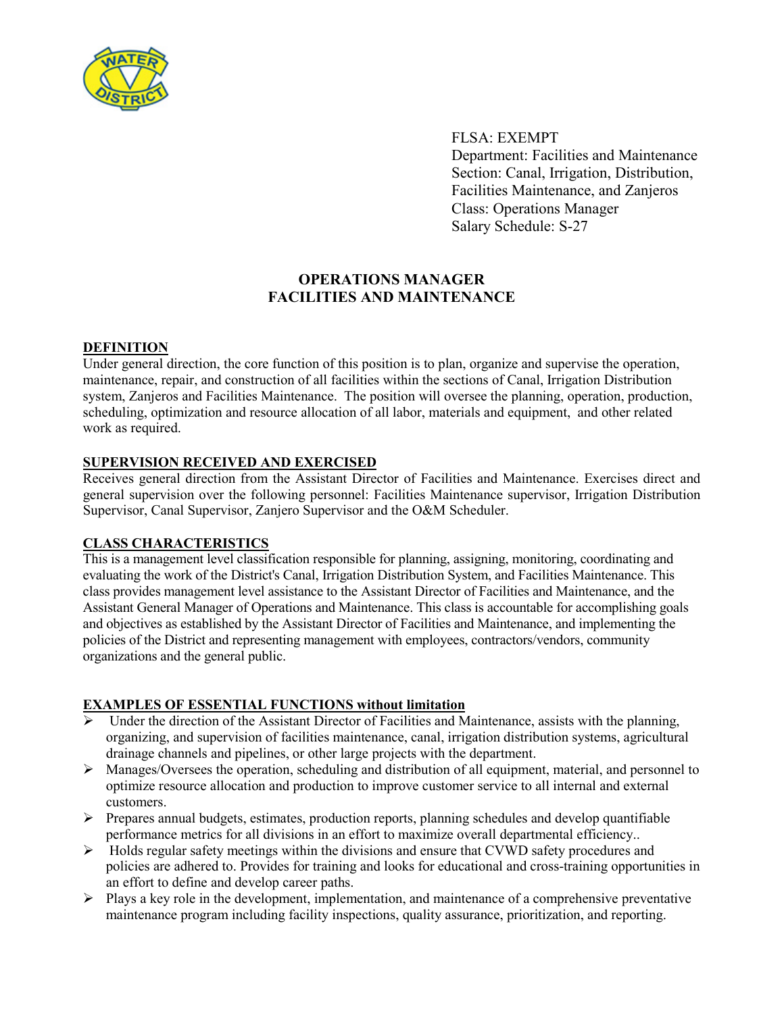

FLSA: EXEMPT Department: Facilities and Maintenance Section: Canal, Irrigation, Distribution, Facilities Maintenance, and Zanjeros Class: Operations Manager Salary Schedule: S-27

# **OPERATIONS MANAGER FACILITIES AND MAINTENANCE**

### **DEFINITION**

Under general direction, the core function of this position is to plan, organize and supervise the operation, maintenance, repair, and construction of all facilities within the sections of Canal, Irrigation Distribution system, Zanjeros and Facilities Maintenance. The position will oversee the planning, operation, production, scheduling, optimization and resource allocation of all labor, materials and equipment, and other related work as required.

### **SUPERVISION RECEIVED AND EXERCISED**

Receives general direction from the Assistant Director of Facilities and Maintenance. Exercises direct and general supervision over the following personnel: Facilities Maintenance supervisor, Irrigation Distribution Supervisor, Canal Supervisor, Zanjero Supervisor and the O&M Scheduler.

#### **CLASS CHARACTERISTICS**

This is a management level classification responsible for planning, assigning, monitoring, coordinating and evaluating the work of the District's Canal, Irrigation Distribution System, and Facilities Maintenance. This class provides management level assistance to the Assistant Director of Facilities and Maintenance, and the Assistant General Manager of Operations and Maintenance. This class is accountable for accomplishing goals and objectives as established by the Assistant Director of Facilities and Maintenance, and implementing the policies of the District and representing management with employees, contractors/vendors, community organizations and the general public.

#### **EXAMPLES OF ESSENTIAL FUNCTIONS without limitation**

- Under the direction of the Assistant Director of Facilities and Maintenance, assists with the planning, organizing, and supervision of facilities maintenance, canal, irrigation distribution systems, agricultural drainage channels and pipelines, or other large projects with the department.
- Manages/Oversees the operation, scheduling and distribution of all equipment, material, and personnel to optimize resource allocation and production to improve customer service to all internal and external customers.
- $\triangleright$  Prepares annual budgets, estimates, production reports, planning schedules and develop quantifiable performance metrics for all divisions in an effort to maximize overall departmental efficiency..
- $\triangleright$  Holds regular safety meetings within the divisions and ensure that CVWD safety procedures and policies are adhered to. Provides for training and looks for educational and cross-training opportunities in an effort to define and develop career paths.
- $\triangleright$  Plays a key role in the development, implementation, and maintenance of a comprehensive preventative maintenance program including facility inspections, quality assurance, prioritization, and reporting.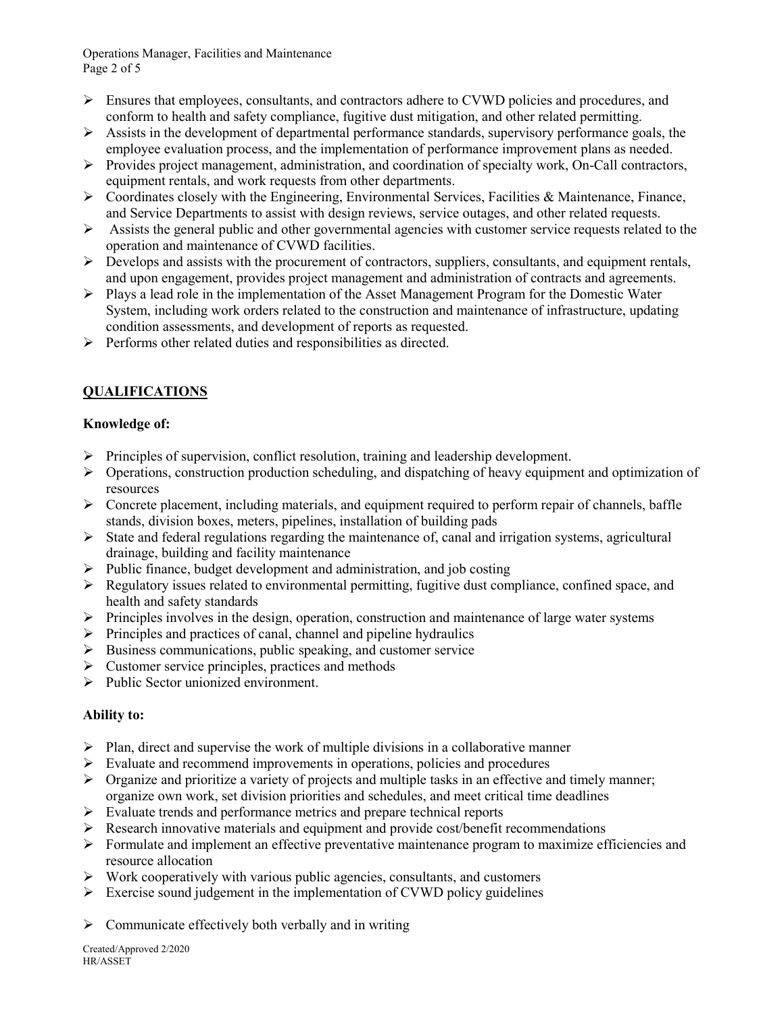Operations Manager, Facilities and Maintenance Page 2 of 5

- $\triangleright$  Ensures that employees, consultants, and contractors adhere to CVWD policies and procedures, and conform to health and safety compliance, fugitive dust mitigation, and other related permitting.
- $\triangleright$  Assists in the development of departmental performance standards, supervisory performance goals, the employee evaluation process, and the implementation of performance improvement plans as needed.
- $\triangleright$  Provides project management, administration, and coordination of specialty work, On-Call contractors, equipment rentals, and work requests from other departments.
- $\triangleright$  Coordinates closely with the Engineering, Environmental Services, Facilities & Maintenance, Finance, and Service Departments to assist with design reviews, service outages, and other related requests.
- $\triangleright$  Assists the general public and other governmental agencies with customer service requests related to the operation and maintenance of CVWD facilities.
- $\triangleright$  Develops and assists with the procurement of contractors, suppliers, consultants, and equipment rentals, and upon engagement, provides project management and administration of contracts and agreements.
- $\triangleright$  Plays a lead role in the implementation of the Asset Management Program for the Domestic Water System, including work orders related to the construction and maintenance of infrastructure, updating condition assessments, and development of reports as requested.
- $\triangleright$  Performs other related duties and responsibilities as directed.

# **QUALIFICATIONS**

## **Knowledge of:**

- $\triangleright$  Principles of supervision, conflict resolution, training and leadership development.
- $\triangleright$  Operations, construction production scheduling, and dispatching of heavy equipment and optimization of resources
- $\triangleright$  Concrete placement, including materials, and equipment required to perform repair of channels, baffle stands, division boxes, meters, pipelines, installation of building pads
- $\triangleright$  State and federal regulations regarding the maintenance of, canal and irrigation systems, agricultural drainage, building and facility maintenance
- $\triangleright$  Public finance, budget development and administration, and job costing
- Regulatory issues related to environmental permitting, fugitive dust compliance, confined space, and health and safety standards
- $\triangleright$  Principles involves in the design, operation, construction and maintenance of large water systems
- $\triangleright$  Principles and practices of canal, channel and pipeline hydraulics
- $\triangleright$  Business communications, public speaking, and customer service
- $\triangleright$  Customer service principles, practices and methods
- $\triangleright$  Public Sector unionized environment.

# **Ability to:**

- $\triangleright$  Plan, direct and supervise the work of multiple divisions in a collaborative manner
- $\triangleright$  Evaluate and recommend improvements in operations, policies and procedures
- $\triangleright$  Organize and prioritize a variety of projects and multiple tasks in an effective and timely manner; organize own work, set division priorities and schedules, and meet critical time deadlines
- $\triangleright$  Evaluate trends and performance metrics and prepare technical reports
- Research innovative materials and equipment and provide cost/benefit recommendations
- $\triangleright$  Formulate and implement an effective preventative maintenance program to maximize efficiencies and resource allocation
- $\triangleright$  Work cooperatively with various public agencies, consultants, and customers
- $\triangleright$  Exercise sound judgement in the implementation of CVWD policy guidelines
- $\triangleright$  Communicate effectively both verbally and in writing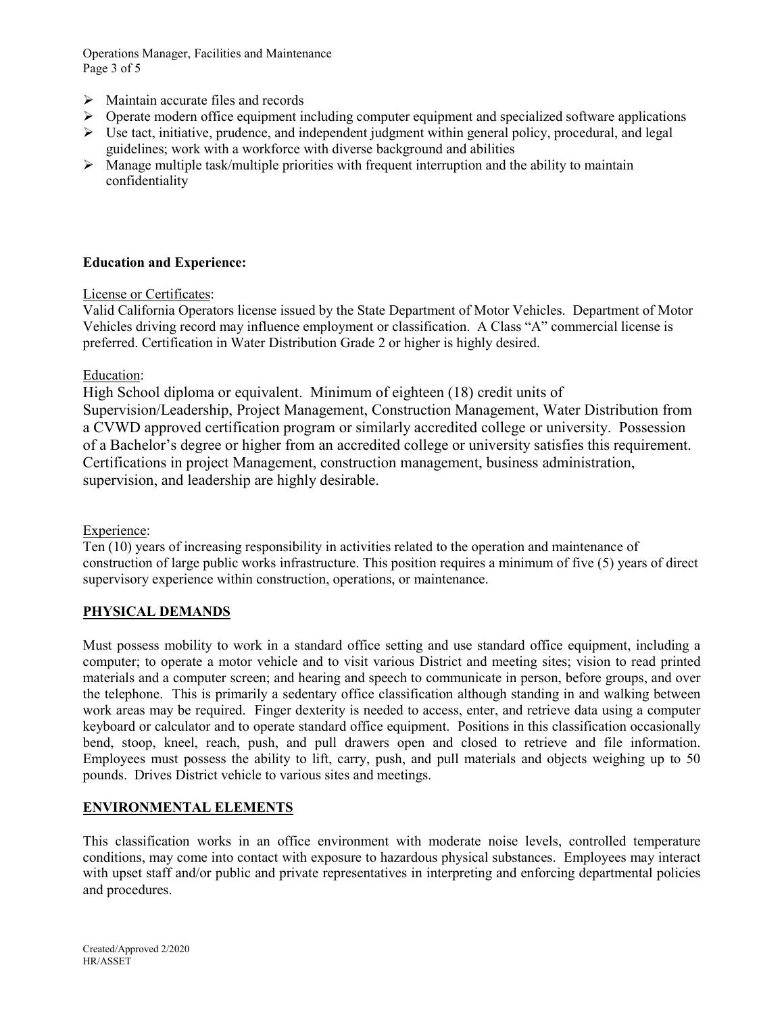Operations Manager, Facilities and Maintenance Page 3 of 5

- $\triangleright$  Maintain accurate files and records
- $\triangleright$  Operate modern office equipment including computer equipment and specialized software applications
- $\triangleright$  Use tact, initiative, prudence, and independent judgment within general policy, procedural, and legal guidelines; work with a workforce with diverse background and abilities
- $\triangleright$  Manage multiple task/multiple priorities with frequent interruption and the ability to maintain confidentiality

### **Education and Experience:**

License or Certificates:

Valid California Operators license issued by the State Department of Motor Vehicles. Department of Motor Vehicles driving record may influence employment or classification. A Class "A" commercial license is preferred. Certification in Water Distribution Grade 2 or higher is highly desired.

### Education:

High School diploma or equivalent. Minimum of eighteen (18) credit units of Supervision/Leadership, Project Management, Construction Management, Water Distribution from a CVWD approved certification program or similarly accredited college or university. Possession of a Bachelor's degree or higher from an accredited college or university satisfies this requirement. Certifications in project Management, construction management, business administration, supervision, and leadership are highly desirable.

Experience:

Ten (10) years of increasing responsibility in activities related to the operation and maintenance of construction of large public works infrastructure. This position requires a minimum of five (5) years of direct supervisory experience within construction, operations, or maintenance.

## **PHYSICAL DEMANDS**

Must possess mobility to work in a standard office setting and use standard office equipment, including a computer; to operate a motor vehicle and to visit various District and meeting sites; vision to read printed materials and a computer screen; and hearing and speech to communicate in person, before groups, and over the telephone. This is primarily a sedentary office classification although standing in and walking between work areas may be required. Finger dexterity is needed to access, enter, and retrieve data using a computer keyboard or calculator and to operate standard office equipment. Positions in this classification occasionally bend, stoop, kneel, reach, push, and pull drawers open and closed to retrieve and file information. Employees must possess the ability to lift, carry, push, and pull materials and objects weighing up to 50 pounds. Drives District vehicle to various sites and meetings.

## **ENVIRONMENTAL ELEMENTS**

This classification works in an office environment with moderate noise levels, controlled temperature conditions, may come into contact with exposure to hazardous physical substances. Employees may interact with upset staff and/or public and private representatives in interpreting and enforcing departmental policies and procedures.